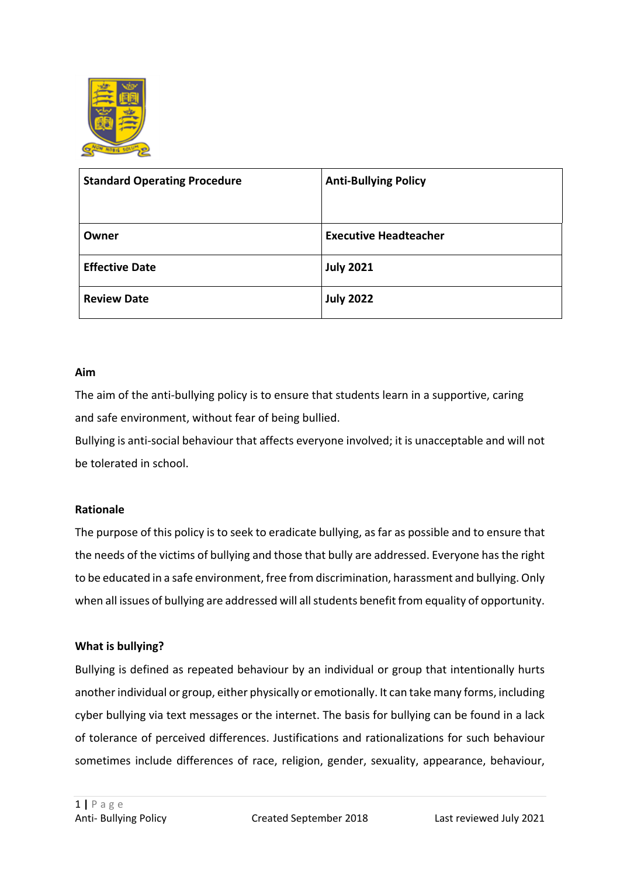

| <b>Standard Operating Procedure</b> | <b>Anti-Bullying Policy</b>  |
|-------------------------------------|------------------------------|
| Owner                               | <b>Executive Headteacher</b> |
| <b>Effective Date</b>               | <b>July 2021</b>             |
| <b>Review Date</b>                  | <b>July 2022</b>             |

#### **Aim**

The aim of the anti-bullying policy is to ensure that students learn in a supportive, caring and safe environment, without fear of being bullied.

Bullying is anti-social behaviour that affects everyone involved; it is unacceptable and will not be tolerated in school.

## **Rationale**

The purpose of this policy is to seek to eradicate bullying, as far as possible and to ensure that the needs of the victims of bullying and those that bully are addressed. Everyone has the right to be educated in a safe environment, free from discrimination, harassment and bullying. Only when all issues of bullying are addressed will all students benefit from equality of opportunity.

#### **What is bullying?**

Bullying is defined as repeated behaviour by an individual or group that intentionally hurts another individual or group, either physically or emotionally. It can take many forms, including cyber bullying via text messages or the internet. The basis for bullying can be found in a lack of tolerance of perceived differences. Justifications and rationalizations for such behaviour sometimes include differences of [race,](http://en.wikipedia.org/wiki/Race_(classification_of_humans)) [religion,](http://en.wikipedia.org/wiki/Religion) [gender,](http://en.wikipedia.org/wiki/Gender) [sexuality,](http://en.wikipedia.org/wiki/Sexual_orientation) [appearance,](http://en.wikipedia.org/wiki/Human_physical_appearance) [behaviour,](http://en.wikipedia.org/wiki/Eccentricity_(behavior))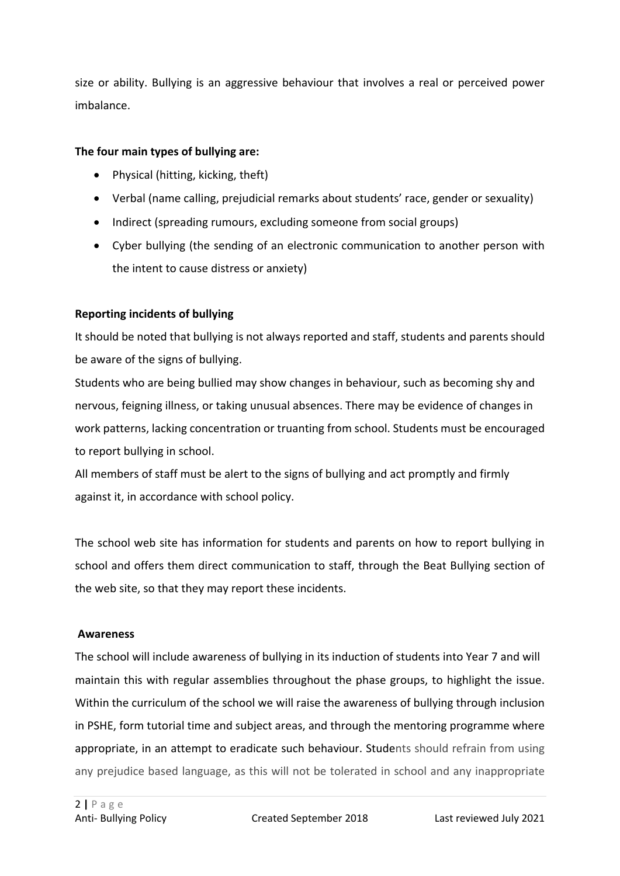size or [ability.](http://en.wikipedia.org/wiki/Disability) Bullying is an aggressive behaviour that involves a real or perceived power imbalance.

# **The four main types of bullying are:**

- Physical (hitting, kicking, theft)
- Verbal (name calling, prejudicial remarks about students' race, gender or sexuality)
- Indirect (spreading rumours, excluding someone from social groups)
- Cyber bullying (the sending of an electronic communication to another person with the intent to cause distress or anxiety)

## **Reporting incidents of bullying**

It should be noted that bullying is not always reported and staff, students and parents should be aware of the signs of bullying.

Students who are being bullied may show changes in behaviour, such as becoming shy and nervous, feigning illness, or taking unusual absences. There may be evidence of changes in work patterns, lacking concentration or truanting from school. Students must be encouraged to report bullying in school.

All members of staff must be alert to the signs of bullying and act promptly and firmly against it, in accordance with school policy.

The school web site has information for students and parents on how to report bullying in school and offers them direct communication to staff, through the Beat Bullying section of the web site, so that they may report these incidents.

## **Awareness**

The school will include awareness of bullying in its induction of students into Year 7 and will maintain this with regular assemblies throughout the phase groups, to highlight the issue. Within the curriculum of the school we will raise the awareness of bullying through inclusion in PSHE, form tutorial time and subject areas, and through the mentoring programme where appropriate, in an attempt to eradicate such behaviour. Students should refrain from using any prejudice based language, as this will not be tolerated in school and any inappropriate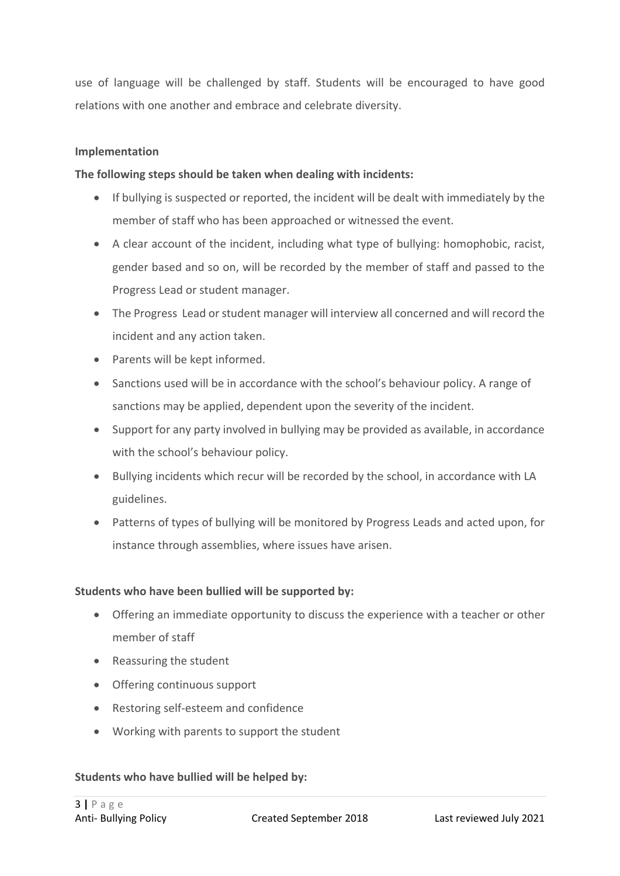use of language will be challenged by staff. Students will be encouraged to have good relations with one another and embrace and celebrate diversity.

## **Implementation**

## **The following steps should be taken when dealing with incidents:**

- If bullying is suspected or reported, the incident will be dealt with immediately by the member of staff who has been approached or witnessed the event.
- A clear account of the incident, including what type of bullying: homophobic, racist, gender based and so on, will be recorded by the member of staff and passed to the Progress Lead or student manager.
- The Progress Lead or student manager will interview all concerned and will record the incident and any action taken.
- Parents will be kept informed.
- Sanctions used will be in accordance with the school's behaviour policy. A range of sanctions may be applied, dependent upon the severity of the incident.
- Support for any party involved in bullying may be provided as available, in accordance with the school's behaviour policy.
- Bullying incidents which recur will be recorded by the school, in accordance with LA guidelines.
- Patterns of types of bullying will be monitored by Progress Leads and acted upon, for instance through assemblies, where issues have arisen.

## **Students who have been bullied will be supported by:**

- Offering an immediate opportunity to discuss the experience with a teacher or other member of staff
- Reassuring the student
- Offering continuous support
- Restoring self-esteem and confidence
- Working with parents to support the student

# **Students who have bullied will be helped by:**